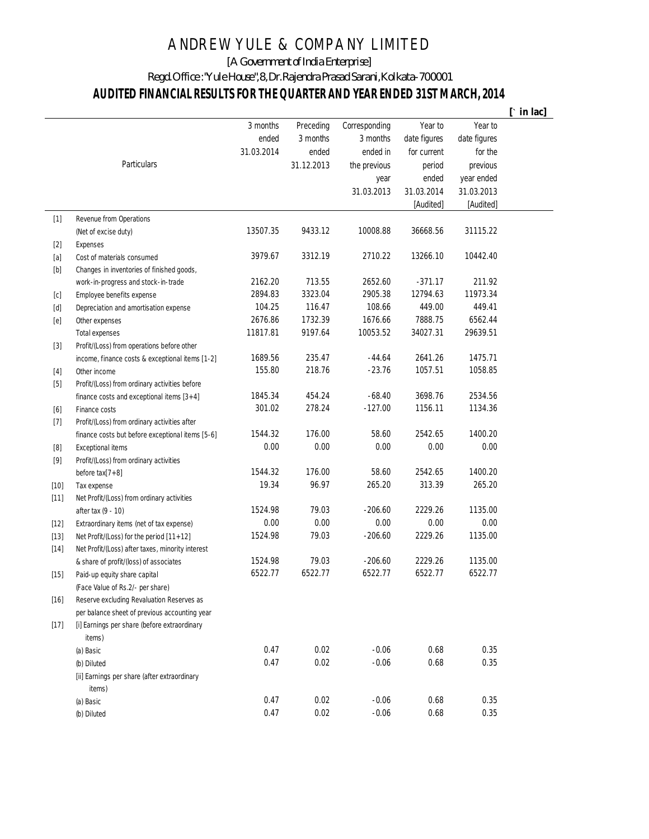## ANDREW YULE & COMPANY LIMITED

[A Government of India Enterprise]

Regd. Office : "Yule House", 8, Dr. Rajendra Prasad Sarani, Kolkata-700001

## **AUDITED FINANCIAL RESULTS FOR THE QUARTER AND YEAR ENDED 31ST MARCH, 2014**

|                                                                                                                                                                                                                                                                                                                                                                                                                                                                                                                                                                                                                     |                                                        |            |            |               |              |              | $[\cdot \text{ in } \text{lac}]$ |
|---------------------------------------------------------------------------------------------------------------------------------------------------------------------------------------------------------------------------------------------------------------------------------------------------------------------------------------------------------------------------------------------------------------------------------------------------------------------------------------------------------------------------------------------------------------------------------------------------------------------|--------------------------------------------------------|------------|------------|---------------|--------------|--------------|----------------------------------|
|                                                                                                                                                                                                                                                                                                                                                                                                                                                                                                                                                                                                                     |                                                        | 3 months   | Preceding  | Corresponding | Year to      | Year to      |                                  |
|                                                                                                                                                                                                                                                                                                                                                                                                                                                                                                                                                                                                                     |                                                        | ended      | 3 months   | 3 months      | date figures | date figures |                                  |
|                                                                                                                                                                                                                                                                                                                                                                                                                                                                                                                                                                                                                     |                                                        | 31.03.2014 | ended      | ended in      | for current  | for the      |                                  |
|                                                                                                                                                                                                                                                                                                                                                                                                                                                                                                                                                                                                                     | <b>Particulars</b>                                     |            | 31.12.2013 | the previous  | period       | previous     |                                  |
|                                                                                                                                                                                                                                                                                                                                                                                                                                                                                                                                                                                                                     |                                                        |            |            | year          | ended        | year ended   |                                  |
|                                                                                                                                                                                                                                                                                                                                                                                                                                                                                                                                                                                                                     |                                                        |            |            | 31.03.2013    | 31.03.2014   | 31.03.2013   |                                  |
|                                                                                                                                                                                                                                                                                                                                                                                                                                                                                                                                                                                                                     |                                                        |            |            |               | [Audited]    | [Audited]    |                                  |
| $[1]$                                                                                                                                                                                                                                                                                                                                                                                                                                                                                                                                                                                                               | <b>Revenue from Operations</b>                         |            |            |               |              |              |                                  |
|                                                                                                                                                                                                                                                                                                                                                                                                                                                                                                                                                                                                                     | (Net of excise duty)                                   | 13507.35   | 9433.12    | 10008.88      | 36668.56     | 31115.22     |                                  |
| $[2]$                                                                                                                                                                                                                                                                                                                                                                                                                                                                                                                                                                                                               | Expenses                                               |            |            |               |              |              |                                  |
| [a]                                                                                                                                                                                                                                                                                                                                                                                                                                                                                                                                                                                                                 | Cost of materials consumed                             | 3979.67    | 3312.19    | 2710.22       | 13266.10     | 10442.40     |                                  |
| $[b] % \begin{center} % \includegraphics[width=\linewidth]{imagesSupplemental_3.png} % \end{center} % \caption { % \textit{DefNet} and { \textit{DefNet}~\textit{DefNet}~\textit{DefNet}~\textit{DefNet}~\textit{DefNet}~\textit{DefNet}~\textit{DefNet}~\textit{DefNet}~\textit{DefNet}~\textit{DefNet}~\textit{DefNet}~\textit{DefNet}~\textit{DefNet}~\textit{DefNet}~\textit{DefNet}~\textit{DefNet}~\textit{DefNet}~\textit{DefNet}~\textit{DefNet}~\textit{DefNet}~\textit{DefNet}~\textit{DefNet}$                                                                                                           | Changes in inventories of finished goods,              |            |            |               |              |              |                                  |
|                                                                                                                                                                                                                                                                                                                                                                                                                                                                                                                                                                                                                     | work-in-progress and stock-in-trade                    | 2162.20    | 713.55     | 2652.60       | $-371.17$    | 211.92       |                                  |
| [c]                                                                                                                                                                                                                                                                                                                                                                                                                                                                                                                                                                                                                 | Employee benefits expense                              | 2894.83    | 3323.04    | 2905.38       | 12794.63     | 11973.34     |                                  |
| $[d] % \begin{center} % \includegraphics[width=\linewidth]{imagesSupplemental_3.png} % \end{center} % \caption { % \textit{Def}_l$ in the image \textit{Def}_l$ in the image \textit{Def}_l$ in the image \textit{Def}_l$ in the image \textit{Def}_l$ in the image \textit{Def}_l$ in the image \textit{Def}_l$ in the image \textit{Def}_l$ in the image \textit{Def}_l$ in the image \textit{Def}_l$ in the image \textit{Def}_l$ in the image \textit{Def}_l$ in the image \textit{Def}_l$ in the image \textit{Def}_l$ in the image \textit{Def}_l$ in the image \textit{Def}_l$ in the image \textit{Def}_l$$ | Depreciation and amortisation expense                  | 104.25     | 116.47     | 108.66        | 449.00       | 449.41       |                                  |
| [e]                                                                                                                                                                                                                                                                                                                                                                                                                                                                                                                                                                                                                 | Other expenses                                         | 2676.86    | 1732.39    | 1676.66       | 7888.75      | 6562.44      |                                  |
|                                                                                                                                                                                                                                                                                                                                                                                                                                                                                                                                                                                                                     | <b>Total expenses</b>                                  | 11817.81   | 9197.64    | 10053.52      | 34027.31     | 29639.51     |                                  |
| $[3]$                                                                                                                                                                                                                                                                                                                                                                                                                                                                                                                                                                                                               | Profit/(Loss) from operations before other             |            |            |               |              |              |                                  |
|                                                                                                                                                                                                                                                                                                                                                                                                                                                                                                                                                                                                                     | income, finance costs & exceptional items [1-2]        | 1689.56    | 235.47     | $-44.64$      | 2641.26      | 1475.71      |                                  |
|                                                                                                                                                                                                                                                                                                                                                                                                                                                                                                                                                                                                                     | Other income                                           | 155.80     | 218.76     | $-23.76$      | 1057.51      | 1058.85      |                                  |
| $[5] % \begin{center} \includegraphics[width=\linewidth]{imagesSupplemental/Imit} \caption{The image shows the image shows a single number of times.} \label{fig:limal} \end{center}$                                                                                                                                                                                                                                                                                                                                                                                                                               | Profit/(Loss) from ordinary activities before          |            |            |               |              |              |                                  |
|                                                                                                                                                                                                                                                                                                                                                                                                                                                                                                                                                                                                                     | finance costs and exceptional items $[3+4]$            | 1845.34    | 454.24     | $-68.40$      | 3698.76      | 2534.56      |                                  |
| $[6] % \begin{center} \includegraphics[width=\linewidth]{imagesSupplemental/Imit} \caption{The image shows the image shows a single number of times.} \label{fig:limal} \end{center}$                                                                                                                                                                                                                                                                                                                                                                                                                               | Finance costs                                          | 301.02     | 278.24     | $-127.00$     | 1156.11      | 1134.36      |                                  |
| $[7]$                                                                                                                                                                                                                                                                                                                                                                                                                                                                                                                                                                                                               | Profit/(Loss) from ordinary activities after           |            |            |               |              |              |                                  |
|                                                                                                                                                                                                                                                                                                                                                                                                                                                                                                                                                                                                                     | finance costs but before exceptional items [5-6]       | 1544.32    | 176.00     | 58.60         | 2542.65      | 1400.20      |                                  |
| [8]                                                                                                                                                                                                                                                                                                                                                                                                                                                                                                                                                                                                                 | <b>Exceptional items</b>                               | 0.00       | 0.00       | 0.00          | 0.00         | 0.00         |                                  |
| $[9]$                                                                                                                                                                                                                                                                                                                                                                                                                                                                                                                                                                                                               | Profit/(Loss) from ordinary activities                 |            |            |               |              |              |                                  |
|                                                                                                                                                                                                                                                                                                                                                                                                                                                                                                                                                                                                                     | before $\text{tax}[7+8]$                               | 1544.32    | 176.00     | 58.60         | 2542.65      | 1400.20      |                                  |
| $[10]$                                                                                                                                                                                                                                                                                                                                                                                                                                                                                                                                                                                                              | Tax expense                                            | 19.34      | 96.97      | 265.20        | 313.39       | 265.20       |                                  |
| $[11]$                                                                                                                                                                                                                                                                                                                                                                                                                                                                                                                                                                                                              | Net Profit/(Loss) from ordinary activities             |            |            |               |              |              |                                  |
|                                                                                                                                                                                                                                                                                                                                                                                                                                                                                                                                                                                                                     | after tax (9 - 10)                                     | 1524.98    | 79.03      | $-206.60$     | 2229.26      | 1135.00      |                                  |
| $[12]$                                                                                                                                                                                                                                                                                                                                                                                                                                                                                                                                                                                                              | Extraordinary items (net of tax expense)               | 0.00       | 0.00       | 0.00          | 0.00         | 0.00         |                                  |
| $[13]$                                                                                                                                                                                                                                                                                                                                                                                                                                                                                                                                                                                                              | Net Profit/(Loss) for the period [11+12]               | 1524.98    | 79.03      | -206.60       | 2229.26      | 1135.00      |                                  |
| $[14]$                                                                                                                                                                                                                                                                                                                                                                                                                                                                                                                                                                                                              | Net Profit/(Loss) after taxes, minority interest       |            |            |               |              |              |                                  |
|                                                                                                                                                                                                                                                                                                                                                                                                                                                                                                                                                                                                                     | & share of profit/(loss) of associates                 | 1524.98    | 79.03      | $-206.60$     | 2229.26      | 1135.00      |                                  |
| $[15]$                                                                                                                                                                                                                                                                                                                                                                                                                                                                                                                                                                                                              | Paid-up equity share capital                           | 6522.77    | 6522.77    | 6522.77       | 6522.77      | 6522.77      |                                  |
|                                                                                                                                                                                                                                                                                                                                                                                                                                                                                                                                                                                                                     | (Face Value of Rs.2/- per share)                       |            |            |               |              |              |                                  |
| $[16]$                                                                                                                                                                                                                                                                                                                                                                                                                                                                                                                                                                                                              | Reserve excluding Revaluation Reserves as              |            |            |               |              |              |                                  |
|                                                                                                                                                                                                                                                                                                                                                                                                                                                                                                                                                                                                                     | per balance sheet of previous accounting year          |            |            |               |              |              |                                  |
| $[17]$                                                                                                                                                                                                                                                                                                                                                                                                                                                                                                                                                                                                              | [i] Earnings per share (before extraordinary<br>items) |            |            |               |              |              |                                  |
|                                                                                                                                                                                                                                                                                                                                                                                                                                                                                                                                                                                                                     | (a) Basic                                              | 0.47       | 0.02       | $-0.06$       | 0.68         | 0.35         |                                  |
|                                                                                                                                                                                                                                                                                                                                                                                                                                                                                                                                                                                                                     | (b) Diluted                                            | 0.47       | 0.02       | $-0.06$       | 0.68         | 0.35         |                                  |
|                                                                                                                                                                                                                                                                                                                                                                                                                                                                                                                                                                                                                     | [ii] Earnings per share (after extraordinary<br>items) |            |            |               |              |              |                                  |
|                                                                                                                                                                                                                                                                                                                                                                                                                                                                                                                                                                                                                     | (a) Basic                                              | 0.47       | 0.02       | $-0.06$       | 0.68         | 0.35         |                                  |
|                                                                                                                                                                                                                                                                                                                                                                                                                                                                                                                                                                                                                     | (b) Diluted                                            | 0.47       | 0.02       | $-0.06$       | 0.68         | 0.35         |                                  |